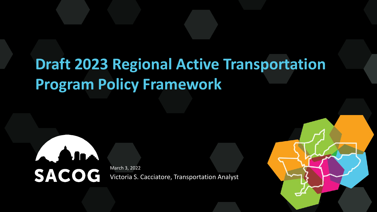## **Draft 2023 Regional Active Transportation Program Policy Framework**



Victoria S. Cacciatore, Transportation Analyst

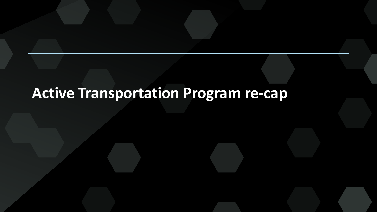### **Active Transportation Program re-cap**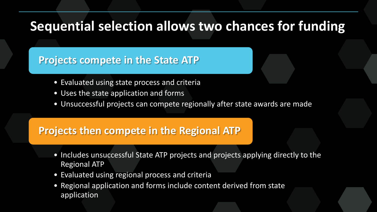### **Sequential selection allows two chances for funding**

### **Projects compete in the State ATP**

- Evaluated using state process and criteria
- Uses the state application and forms
- Unsuccessful projects can compete regionally after state awards are made

### **Projects then compete in the Regional ATP**

- Includes unsuccessful State ATP projects and projects applying directly to the Regional ATP
- Evaluated using regional process and criteria
- Regional application and forms include content derived from state application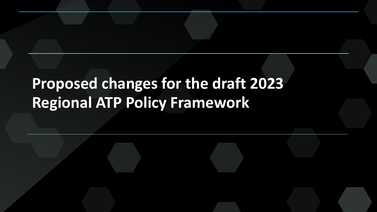## **Proposed changes for the draft 2023 Regional ATP Policy Framework**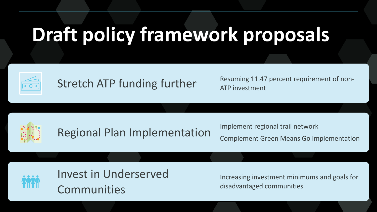# **Draft policy framework proposals**



Stretch ATP funding further Resuming 11.47 percent requirement of non-ATP investment



Implement regional trail network

Complement Green Means Go implementation



Invest in Underserved **Communities** 

Increasing investment minimums and goals for disadvantaged communities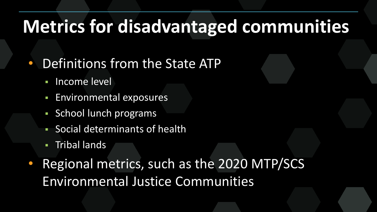## **Metrics for disadvantaged communities**

- Definitions from the State ATP
	- **Income level**
	- **Environmental exposures**
	- School lunch programs
	- Social determinants of health
	- Tribal lands
- Regional metrics, such as the 2020 MTP/SCS Environmental Justice Communities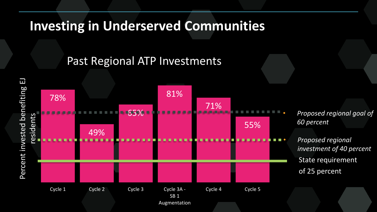### **Investing in Underserved Communities**

### Past Regional ATP Investments



• *Proposed regional goal of 60 percent*

• *Proposed regional investment of 40 percent* State requirement of 25 percent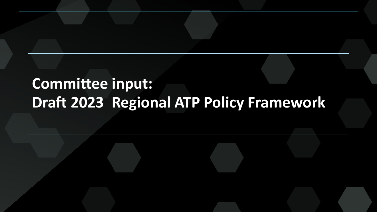## **Committee input: Draft 2023 Regional ATP Policy Framework**